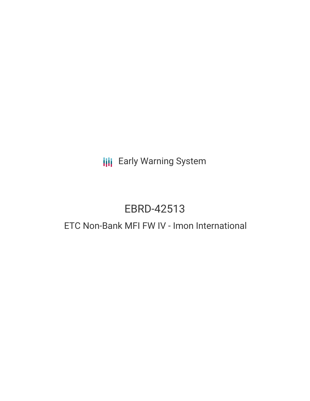## **III** Early Warning System

## EBRD-42513

## ETC Non-Bank MFI FW IV - Imon International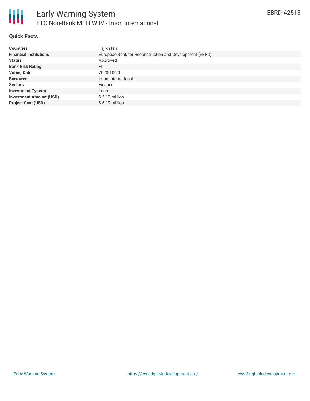#### **Quick Facts**

| <b>Countries</b>               | Tajikistan                                              |  |  |  |  |
|--------------------------------|---------------------------------------------------------|--|--|--|--|
| <b>Financial Institutions</b>  | European Bank for Reconstruction and Development (EBRD) |  |  |  |  |
| <b>Status</b>                  | Approved                                                |  |  |  |  |
| <b>Bank Risk Rating</b>        | FI                                                      |  |  |  |  |
| <b>Voting Date</b>             | 2020-10-20                                              |  |  |  |  |
| <b>Borrower</b>                | Imon International                                      |  |  |  |  |
| <b>Sectors</b>                 | Finance                                                 |  |  |  |  |
| <b>Investment Type(s)</b>      | Loan                                                    |  |  |  |  |
| <b>Investment Amount (USD)</b> | $$5.19$ million                                         |  |  |  |  |
| <b>Project Cost (USD)</b>      | $$5.19$ million                                         |  |  |  |  |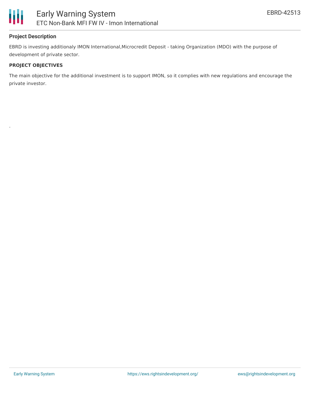

#### **Project Description**

EBRD is investing additionaly IMON International,Microcredit Deposit - taking Organization (MDO) with the purpose of development of private sector.

#### **PROJECT OBJECTIVES**

.

The main objective for the additional investment is to support IMON, so it complies with new regulations and encourage the private investor.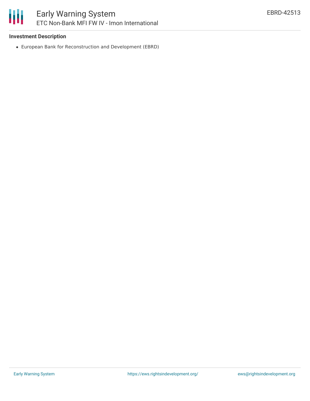#### **Investment Description**

European Bank for Reconstruction and Development (EBRD)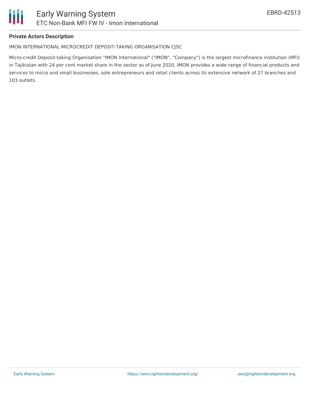#### **Private Actors Description**

#### IMON INTERNATIONAL MICROCREDIT DEPOSIT-TAKING ORGANISATION CJSC

Micro-credit Deposit-taking Organisation "IMON International" ("IMON", "Company") is the largest microfinance institution (MFI) in Tajikistan with 24 per cent market share in the sector as of June 2020. IMON provides a wide range of financial products and services to micro and small businesses, sole entrepreneurs and retail clients across its extensive network of 27 branches and 103 outlets.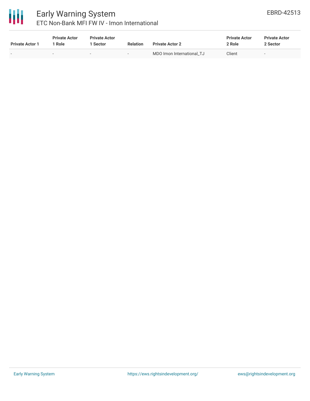

# 冊

### Early Warning System ETC Non-Bank MFI FW IV - Imon International

| <b>Private Actor 1</b> | <b>Private Actor</b><br>Role | <b>Private Actor</b><br>l Sector | <b>Relation</b>          | <b>Private Actor 2</b>    | <b>Private Actor</b><br>2 Role | <b>Private Actor</b><br>2 Sector |
|------------------------|------------------------------|----------------------------------|--------------------------|---------------------------|--------------------------------|----------------------------------|
|                        | $\sim$                       | $\sim$                           | $\overline{\phantom{a}}$ | MDO Imon International TJ | Client                         | . .                              |